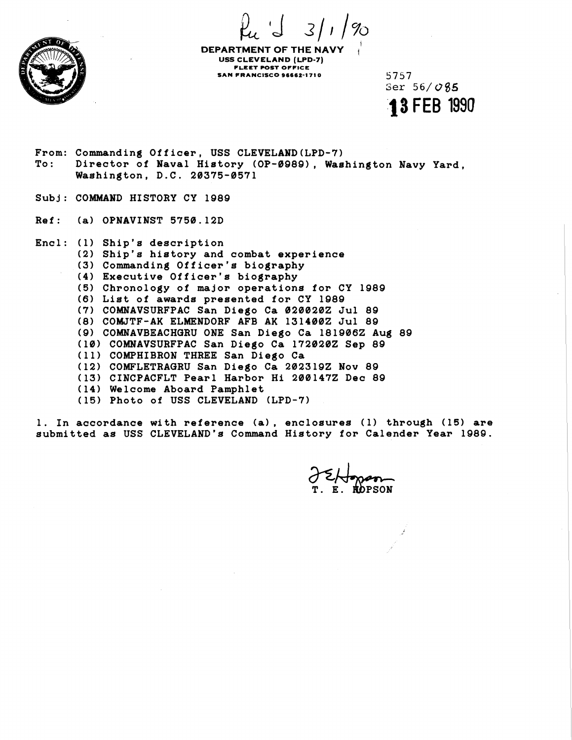$\mu$   $\int$  3/1/% I



**DEPARTMENT OF THE NAVY USS CLEVELAND (LPD-7) FLEET POST OFFICE SAN FRANCISCO 96662-1710** 5757

Ser **56/0\$5 13** FEB **1990** 

**From: Commanding Officer, USS CLEVELAND(LPD-7) To: Director of Naval History (OP-0989)** , **Washington Navy Yard, Washington, D.C. 20375-0571** 

- **Subj: COMMAND HISTORY CY 1989**
- **Ref** : **(a) OPNAVINST 5750.12D**

**Encl: (1) Ship's description (2) Ship's history and combat experience (3) Commanding Officer's biography (4) Executive Officer's biography (5) Chronology of major operations for CY 1989 (6) List of awards presented for CY 1989 (7) COMNAVSURFPAC San Diego Ca 0200202 Jul 89 (8) COMJTF-AK ELMENDORF AFB AK 1314002 Jul 89 (9) COMNAVBEACHQRU ONE San Diego Ca 1819062 Aug 89 (10) COMNAVSURFPAC San Diego Ca 1720202 Sep 89 (11) COMPHIBRON THREE San Diego Ca (12) COMFLETRAQRU San Diego Ca 2023192 Nov 89 (13) CINCPACFLT Pearl Harbor Hi 2001472 Dec 89**  ( **14) Welcome Aboard Pamphlet (15) Photo of USS CLEVELAND (LPD-7)** 

**1. In accordance with reference (a)** , **enclosures (1) through (15) are submitted as USS CLEVELAND'S Command History for Calender yea^ 1989.** 

**ROPSON**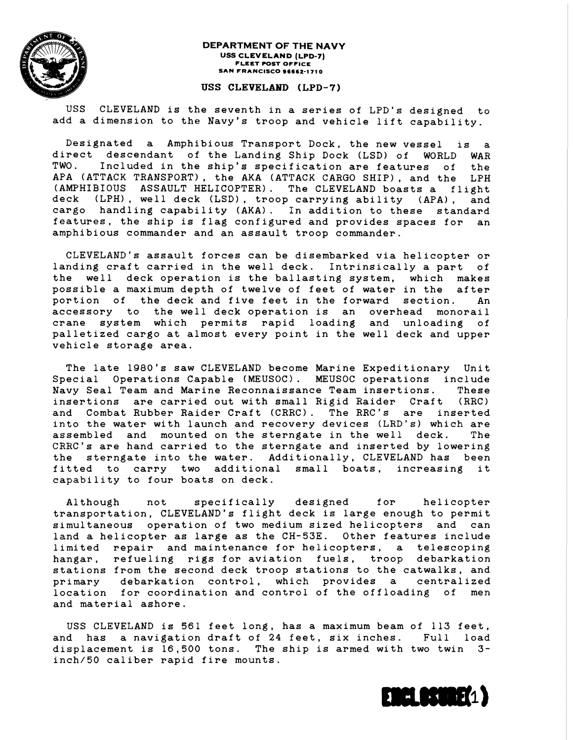

#### **DEPARTMENT OF THE NAVY USS CLEVELAND (LPD-7) FLEET POST OFFICE SAN FRANCISCO 96662-1 71 0**

## **USS CLEVELAM) (LPD-7)**

USS CLEVELAND is the seventh in a series of LPD's designed to add a dimension to the Navy's troop and vehicle lift capability.

Designated a Amphibious Transport Dock, the new vessel is direct descendant of the Landing Ship Dock (LSD) of WORLD WAR TWO. Included in the ship's specification are features of the APA (ATTACK TRANSPORT) , the AKA (ATTACK CARGO SHIP) , and the LPH (AMPHIBIOUS ASSAULT HELICOPTER). The CLEVELAND boasts a flight deck (LPH) , well deck (LSD), troop carrying ability (APA) , and cargo handling capability (AKA). In addition to these standard features, the ship is flag configured and provides spaces for an amphibious commander and an assault troop commander.

CLEVELAND'S assault forces can be disembarked via helicopter or landing craft carried in the well deck. Intrinsically a part of the well deck operation is the ballasting system, which makes possible a maximum depth of twelve of feet of water in the after portion of the deck and five feet in the forward section. An accessory to the well deck operation is an overhead monorail crane system which permits rapid loading and unloading of palletized cargo at almost every point in the well deck and upper vehicle storage area.

The late 1980's saw CLEVELAND become Marine Expeditionary Unit Special Operations Capable (MEUSOC). MEUSOC operations include Navy Seal Team and Marine Reconnaissance Team insertions. These insertions are carried out with small Rigid Raider Craft (RRC) and Combat Rubber Raider Craft (CRRC). The RRC's are inserted into the water with launch and recovery devices (LRD's) which are assembled and mounted on the sterngate in the well deck. The CRRC's are hand carried to the sterngate and inserted by lowering the sterngate into the water. Additionally, CLEVELAND has been fitted to carry two additional small boats, increasing it capability to four boats on deck.

A1 though not specifically designed for helicopter transportation, CLEVELAND'S flight deck is large enough to permit simultaneous operation of two medium sized helicopters and can land a helicopter as large as the CH-53E. Other features include limited repair and maintenance for helicopters, a telescoping hangar, refueling rigs for aviation fuels, troop debarkation stations from the second deck troop stations to the catwalks, and primary debarkation control, which provides a centralized location for coordination and control of the offloading of men and material ashore.

USS CLEVELAND is 561 feet long, has a maximum beam of 113 feet, and has a navigation draft of 24 feet, six inches. Full load displacement is 16,500 tons. The ship is armed with two twin **3**  inch/50 caliber rapid fire mounts.

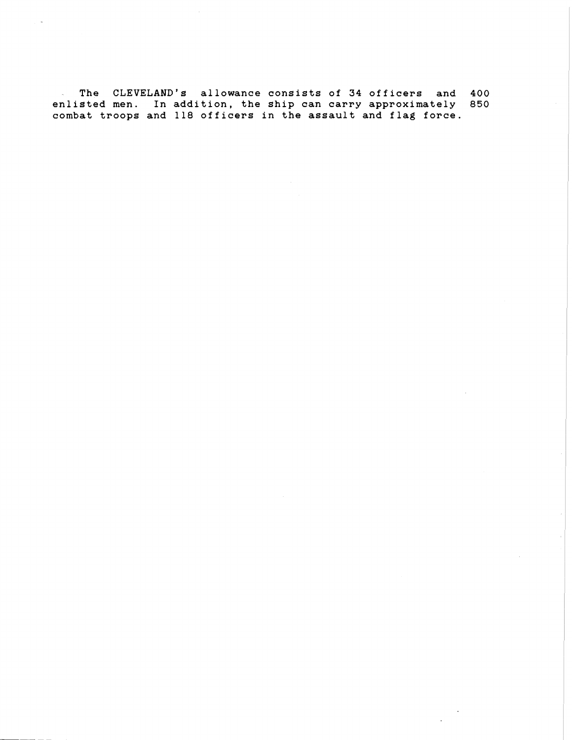**The CLEVELAND'S allowance consists of 34 officers and 400 enlisted men. In addition, the ship can carry approximately 850 combat troops and 118 officers in the assault and flag force.**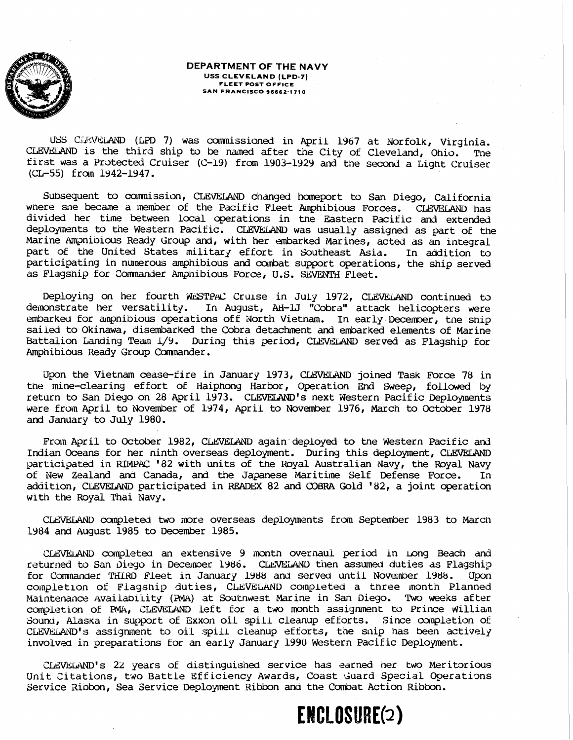

#### **DEPARTMENT OF THE NAVY USS CLEVELAND (LPD-7)**  FLEET POST OFFICE SAN FRANCISCO **96662-1 71** 0

USS CLEVELAND (LPD 7) was commissioned in April 1967 at Norfolk, Virginia. CLEVELAND is the third ship to be named after the City of Cleveland, Ohio. The first was a Protected Cruiser **(C-19)** from 1903-1929 and the second a Light Cruiser (CL-55) from 1942-1947.

Subsequent to commission, CLEVELAND changed homeport to San Diego, California wnere sne became a member of the Pacific Fleet Amphibious Forces. CLEVELAND has divided her time between local operations in the Eastern Pacific and extended deployments to the Western Pacific. CLEVELAND was usually assigned as part of the Marine Ampnibious Ready Group and, with her embarked Marines, acted as an integral part of the United States military effort in Southeast Asia. In addition to participating in numerous amphibious and combat support operations, the ship served as Flagsnip for Commander Amphibious Force, U.S. SEVENTH Fleet.

Deploying on her fourth WESTPAC Cruise in July 1972, CLEVELAND continued to demonstrate her versatility. In August, AH-LJ "Cobra" attack helicopters were embarked for ampnibious operations off North Vietnam. In early December, the ship sailed to Okinawa, disembarked the Cobra detachment and embarked elements of Marine Battalion Landing Team 1/9. During this period, CLEVELAND served as Flagship for Amphibious Ready Group commander.

Upon the Vietnam cease-fire in January 1973, CLEVELAND joined Task Force 78 in tne mine-clearing effort of Haiphony Harbor, Operation **End** Sweep, followed by return to San Dieyo on 28 April 1973. CLEVELAND's next Western Pacific Deployments were from April to November of 1974, April to November 1976, March to October 1978 and January to July 1980.

From April to October 1982, CLEVELAND again deployed to the Western Pacific and Indian Oceans for her ninth overseas deploynent. During this deployment, CuWELMD participated in RIMPAC '82 with units of the Royal Australian Navy, the Royal Navy<br>of New Zealand and Canada, and the Japanese Maritime Self Defense Force. In of New Zealand and Canada, and the Japanese Maritime Self Defense Force. addition, CLEVELAND participated in READEX 82 and COBRA Gold '82, a joint operation with the Royal Thai Navy.

CLEVELAND completed two more overseas deployments from September 1983 to March 1984 and August 1985 to December 1985.

CLEVELAND completed an extensive 9 month overhaul period in Long Beach and returned to San Diego in December 1986. CLEVELAND then assumed duties as Flagship for Commander THIRD Fleet in January 1988 and served until November 1988. Upon completion of Flagsnip duties, CLEVELAND completed a tnree month Planned Maintenance Availability (PMA) at Soutnwest Marine in San Diego. Two weeks after completion of PMA, CLEVELAND left for a two month assignment to Prince William Sound, Alaska in support of Exxon oil spill cleanup efforts. Since completion of CLEVELAND's assignment to oil spill cleanup efforts, the snip has been actively involved in preparations for an early January 1990 Western Pacific Deployment.

CLEVELAND's 22 years of distinguished service has earned her two Meritorious Unit Citations, two Battle Efficiency Awards, Coast Guard Special Operations Service Ribbon, Sea Service Deployment Ribbon and the Combat Action Ribbon.

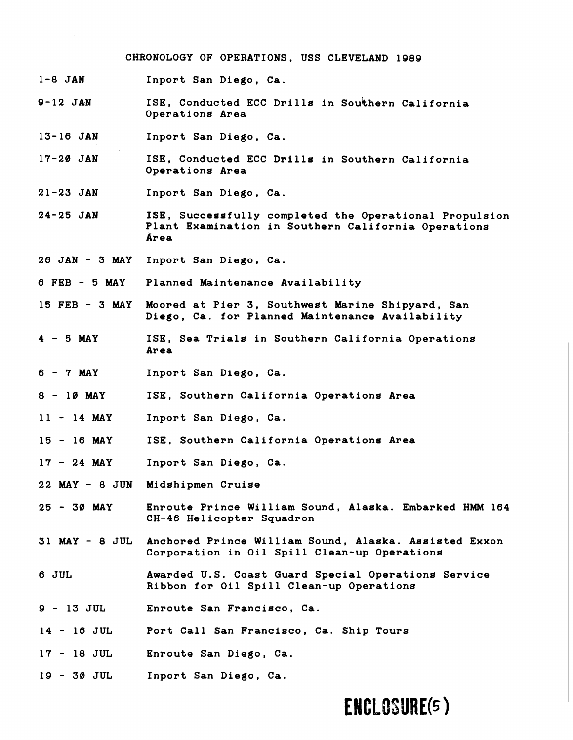**CHRONOLOGY OF OPERATIONS, USS CLEVELAND 1989** 

- **1-8 JAN Inport San Diego, Ca.**
- **9--12 JA-N**  ISE, Conducted ECC Drills in Southern California **Operations Area**
- **13-16 JAN Inport San Diego, Ca.**
- **17-20 JAN ISE, Conducted ECC Drills in Southern California Operations Area**
- **21-23 JAN Inport San Diego, Ca.**
- **24-25 JAN ISE, Successfully completed the Operational Propulsion Plant Examination in Southern California Operations Area**
- **26 JAN 3 MAY Inport San Diego, Ca.**
- **6 FEB 5 MAY Planned Maintenance Availability**
- **15 FEB 3 MAY Moored at Pier 3, Southwest Marine Shipyard, San Diego, Ca. for Planned Maintenance Availability**
- $4 5$  MAY **ISE, Sea Trials in Southern California Operations Area**
- **6-7MAY Inport San Diego, Ca.**
- **<sup>8</sup> 10 MAY ISE, Southern California Operations Area**
- **<sup>11</sup> 14 MAY Inport San Diego, Ca.**
- **<sup>15</sup> 16 MAY ISE, Southern California Operations Area**
- **<sup>17</sup> 24 MAY Inport San Diego, Ca.**
- **22 MAY 8 JUN Midshipmen Cruise**
- **<sup>25</sup> 30 MAY Enroute Prince William Sound, Alaska. Embarked HMM 164 CH-46 Helicopter Squadron**
- **31 MAY 8 JUL Anchored Prince William Sound, Alaska. Assisted Exxon Corporation in Oil Spill Clean-up Operations**
- **6 JUL Awarded U.S. Coast Guard Special Operations Service Ribbon for Oil Spill Clean-up Operations**
- **9 13 JUL Enroute San Francisco, Ca.**
- **<sup>14</sup> 16 JUL Port Call San Francisco, Ca. Ship Tours**
- **<sup>17</sup> 18 JUL Enroute San Diego, Ca.**
- **19 30 JUL Inport San Diego, Ca.**

# **ENCLOSURE(5)**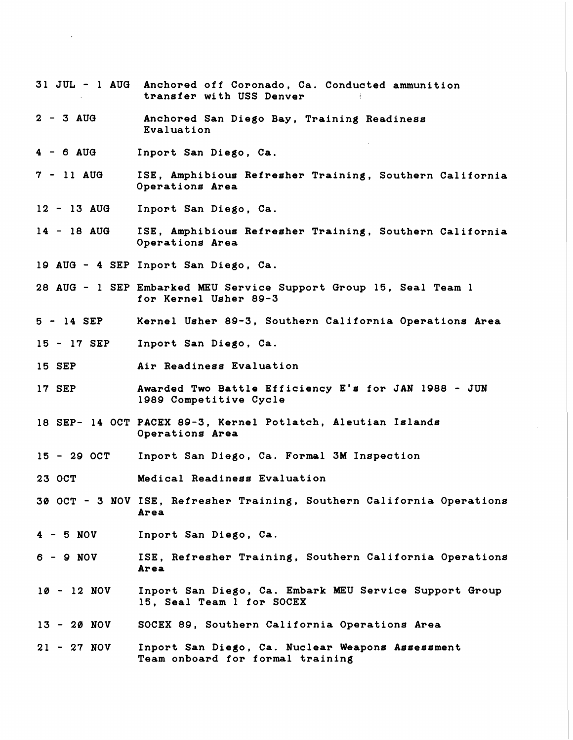- **31 JUL 1 AUG Anchored off Coronado, Ca. Conducted ammunition transfer with USS Denver** ,
- **<sup>2</sup> 3 AUG Anchored San Diego Bay, Training Readiness Evaluation**
- **<sup>4</sup> 6 AUG Inport San Diego, Ca.**
- **<sup>7</sup> 11 AUG ISE, Amphibious Refresher Training, Southern California Operations Area**
- **<sup>12</sup> 13 AUa Inport San Diego, Ca.**
- **<sup>14</sup> 18 AUG ISE, Amphibious Refresher Training, Southern California Operations Area**
- **19 AUG 4 SEP Inport San Diego, Ca.**
- **28 AUG 1 SEP Embarked MEU Service Support Group 15, Seal Team 1 for Kernel Usher 89-3**
- **<sup>5</sup> 14 SEP Kernel Usher 89-3, Southern California Operations Area**
- **<sup>15</sup> 17 SEP Inport San Diego, Ca.**
- **15 SEP Air Readiness Evaluation**
- **17 SEP Awarded Two Battle Efficiency E's for JAN 1988 JUN 1989 Competitive Cycle**
- **18 SEP- 14 OCT PACEX 89-3, Kernel Potlatch, Aleutian Islands Operations Area**
- **<sup>15</sup> 29 OCT Inport San Diego, Ca. Formal 3M Inspection**
- **23 OCT Medical Readiness Evaluation**
- **30 OCT 3 NOV ISE, Refresher Training, Southern California Operations Area**
- **<sup>4</sup> 5 NOV Inport San Diego, Ca.**
- **6 9 NOV ISE, Refresher Training, Southern California Operations Area**
- **<sup>10</sup> 12 NOV Inport San Diego, Ca. Embark MEU Service Support Group 15, Seal Team 1 for SOCEX**
- **<sup>13</sup> 20 NOV SOCEX 89, Southern California Operations Area**
- **<sup>21</sup> 27 NOV Inport San Diego, Ca. Nuclear Weapons Assessment Team onboard for formal training**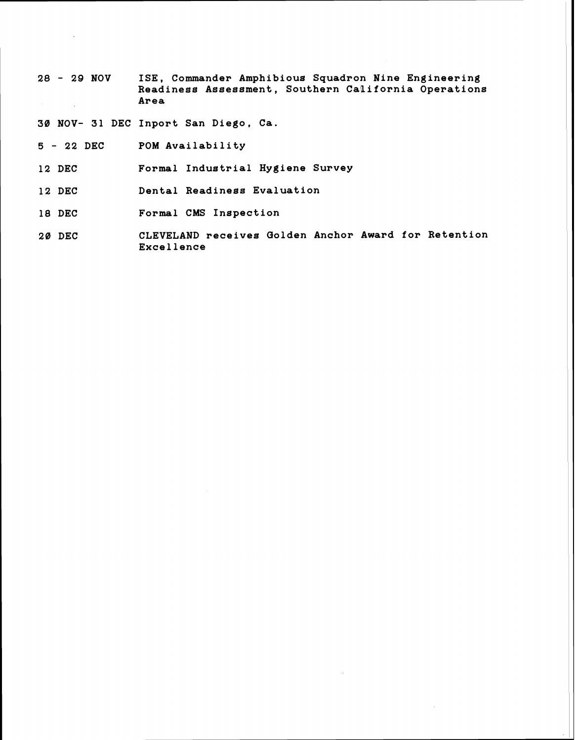**<sup>28</sup>**- **29 NOV ISE, Commander Amphibious Squadron Nine Engineering Readiness Assessment, Southern California Operations Area** 

**30 NOV- 31 DEC Inport San Diego, Ca.** 

- **<sup>5</sup> 22 DEC POM Availability**
- **12 DEC Formal Industrial Hygiene Survey**
- **12 DEC Dental Readiness Evaluation**
- **18 DEC Formal CMS Inspection**
- **20 DEC CLEVELAND receives Golden Anchor Award for Retention Excellence**